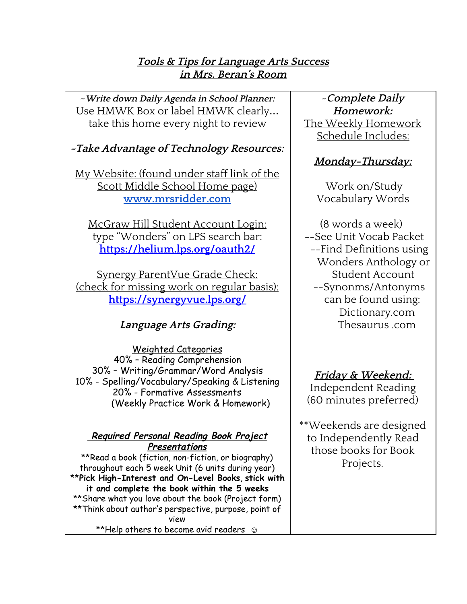### **Tools & Tips for Language Arts Success in Mrs. Beran's Room**

~**Write down Daily Agenda in School Planner:** Use HMWK Box or label HMWK clearly… take this home every night to review

## **~Take Advantage of Technology Resources:**

My Website: (found under staff link of the Scott Middle School Home page) **[www.mrsridder.com](http://www.mrsridder.com/)**

McGraw Hill Student Account Login: type "Wonders" on LPS search bar: **<https://helium.lps.org/oauth2/>**

Synergy ParentVue Grade Check: (check for missing work on regular basis): **<https://synergyvue.lps.org/>**

## **Language Arts Grading:**

Weighted Categories 40% – Reading Comprehension 30% – Writing/Grammar/Word Analysis 10% - Spelling/Vocabulary/Speaking & Listening 20% - Formative Assessments (Weekly Practice Work & Homework)

#### **Required Personal Reading Book Project Presentations**

\*\*Read a book (fiction, non-fiction, or biography) throughout each 5 week Unit (6 units during year) \*\***Pick High-Interest and On-Level Books**, **stick with it and complete the book within the 5 weeks** \*\*Share what you love about the book (Project form) \*\*Think about author's perspective, purpose, point of view \*\*Help others to become avid readers  $\odot$ 

~**Complete Daily Homework:** The Weekly Homework Schedule Includes:

# **Monday-Thursday:**

Work on/Study Vocabulary Words

(8 words a week) --See Unit Vocab Packet --Find Definitions using Wonders Anthology or Student Account --Synonms/Antonyms can be found using: Dictionary.com Thesaurus .com

# **Friday & Weekend:**

Independent Reading (60 minutes preferred)

\*\*Weekends are designed to Independently Read those books for Book Projects.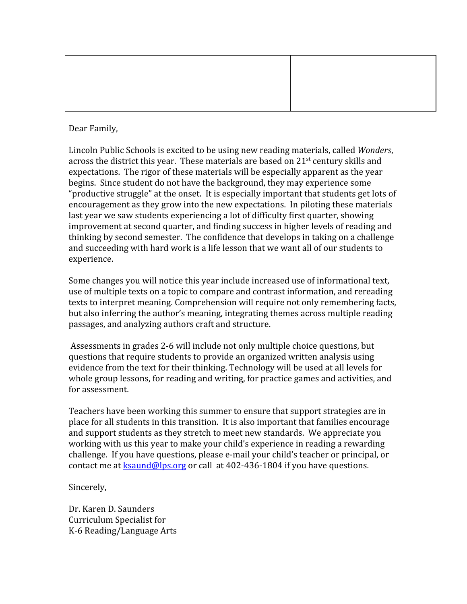Dear Family,

Lincoln Public Schools is excited to be using new reading materials, called *Wonders*, across the district this year. These materials are based on 21<sup>st</sup> century skills and expectations. The rigor of these materials will be especially apparent as the year begins. Since student do not have the background, they may experience some "productive struggle" at the onset. It is especially important that students get lots of encouragement as they grow into the new expectations. In piloting these materials last year we saw students experiencing a lot of difficulty first quarter, showing improvement at second quarter, and finding success in higher levels of reading and thinking by second semester. The confidence that develops in taking on a challenge and succeeding with hard work is a life lesson that we want all of our students to experience.

Some changes you will notice this year include increased use of informational text, use of multiple texts on a topic to compare and contrast information, and rereading texts to interpret meaning. Comprehension will require not only remembering facts, but also inferring the author's meaning, integrating themes across multiple reading passages, and analyzing authors craft and structure.

Assessments in grades 2-6 will include not only multiple choice questions, but questions that require students to provide an organized written analysis using evidence from the text for their thinking. Technology will be used at all levels for whole group lessons, for reading and writing, for practice games and activities, and for assessment.

Teachers have been working this summer to ensure that support strategies are in place for all students in this transition. It is also important that families encourage and support students as they stretch to meet new standards. We appreciate you working with us this year to make your child's experience in reading a rewarding challenge. If you have questions, please e-mail your child's teacher or principal, or contact me at  $\frac{\text{ksaund@los.org}}{\text{cos.org}}$  or call at 402-436-1804 if you have questions.

Sincerely,

Dr. Karen D. Saunders Curriculum Specialist for K-6 Reading/Language Arts